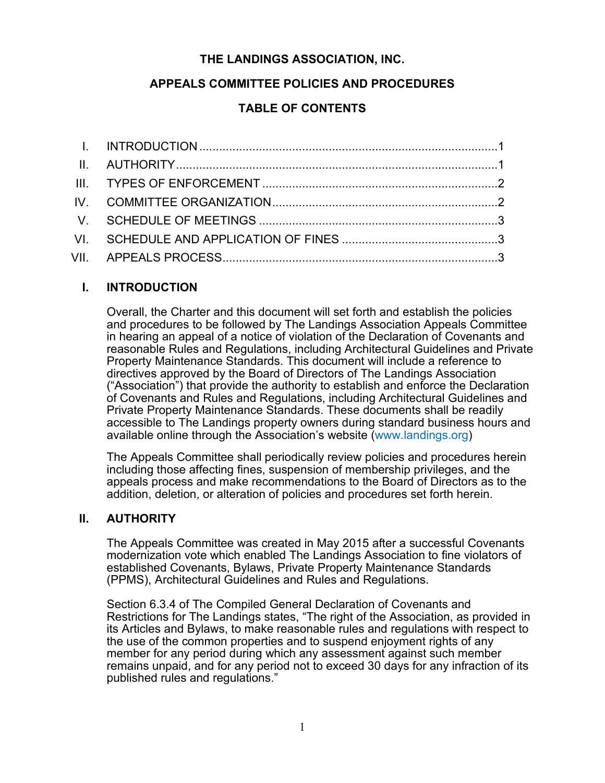# **THE LANDINGS ASSOCIATION, INC.**

# **APPEALS COMMITTEE POLICIES AND PROCEDURES**

# **TABLE OF CONTENTS**

### **I. INTRODUCTION**

Overall, the Charter and this document will set forth and establish the policies and procedures to be followed by The Landings Association Appeals Committee in hearing an appeal of a notice of violation of the Declaration of Covenants and reasonable Rules and Regulations, including Architectural Guidelines and Private Property Maintenance Standards. This document will include a reference to directives approved by the Board of Directors of The Landings Association ("Association") that provide the authority to establish and enforce the Declaration of Covenants and Rules and Regulations, including Architectural Guidelines and Private Property Maintenance Standards. These documents shall be readily accessible to The Landings property owners during standard business hours and available online through the Association's website (www.landings.org)

The Appeals Committee shall periodically review policies and procedures herein including those affecting fines, suspension of membership privileges, and the appeals process and make recommendations to the Board of Directors as to the addition, deletion, or alteration of policies and procedures set forth herein.

#### **II. AUTHORITY**

The Appeals Committee was created in May 2015 after a successful Covenants modernization vote which enabled The Landings Association to fine violators of established Covenants, Bylaws, Private Property Maintenance Standards (PPMS), Architectural Guidelines and Rules and Regulations.

Section 6.3.4 of The Compiled General Declaration of Covenants and Restrictions for The Landings states, "The right of the Association, as provided in its Articles and Bylaws, to make reasonable rules and regulations with respect to the use of the common properties and to suspend enjoyment rights of any member for any period during which any assessment against such member remains unpaid, and for any period not to exceed 30 days for any infraction of its published rules and regulations."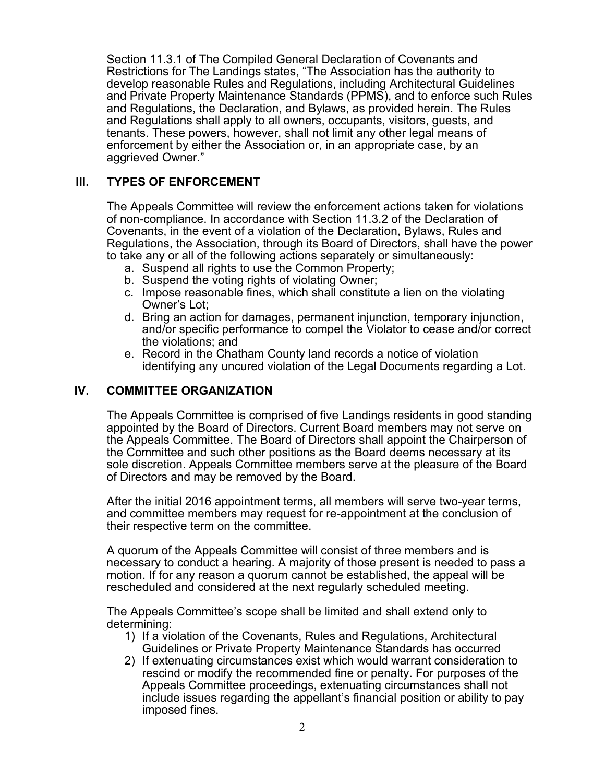Section 11.3.1 of The Compiled General Declaration of Covenants and Restrictions for The Landings states, "The Association has the authority to develop reasonable Rules and Regulations, including Architectural Guidelines and Private Property Maintenance Standards (PPMS), and to enforce such Rules and Regulations, the Declaration, and Bylaws, as provided herein. The Rules and Regulations shall apply to all owners, occupants, visitors, guests, and tenants. These powers, however, shall not limit any other legal means of enforcement by either the Association or, in an appropriate case, by an aggrieved Owner."

### **III. TYPES OF ENFORCEMENT**

The Appeals Committee will review the enforcement actions taken for violations of non-compliance. In accordance with Section 11.3.2 of the Declaration of Covenants, in the event of a violation of the Declaration, Bylaws, Rules and Regulations, the Association, through its Board of Directors, shall have the power to take any or all of the following actions separately or simultaneously:

- a. Suspend all rights to use the Common Property;
- b. Suspend the voting rights of violating Owner;
- c. Impose reasonable fines, which shall constitute a lien on the violating Owner's Lot;
- d. Bring an action for damages, permanent injunction, temporary injunction, and/or specific performance to compel the Violator to cease and/or correct the violations; and
- e. Record in the Chatham County land records a notice of violation identifying any uncured violation of the Legal Documents regarding a Lot.

#### **IV. COMMITTEE ORGANIZATION**

The Appeals Committee is comprised of five Landings residents in good standing appointed by the Board of Directors. Current Board members may not serve on the Appeals Committee. The Board of Directors shall appoint the Chairperson of the Committee and such other positions as the Board deems necessary at its sole discretion. Appeals Committee members serve at the pleasure of the Board of Directors and may be removed by the Board.

After the initial 2016 appointment terms, all members will serve two-year terms, and committee members may request for re-appointment at the conclusion of their respective term on the committee.

A quorum of the Appeals Committee will consist of three members and is necessary to conduct a hearing. A majority of those present is needed to pass a motion. If for any reason a quorum cannot be established, the appeal will be rescheduled and considered at the next regularly scheduled meeting.

The Appeals Committee's scope shall be limited and shall extend only to determining:

- 1) If a violation of the Covenants, Rules and Regulations, Architectural Guidelines or Private Property Maintenance Standards has occurred
- 2) If extenuating circumstances exist which would warrant consideration to rescind or modify the recommended fine or penalty. For purposes of the Appeals Committee proceedings, extenuating circumstances shall not include issues regarding the appellant's financial position or ability to pay imposed fines.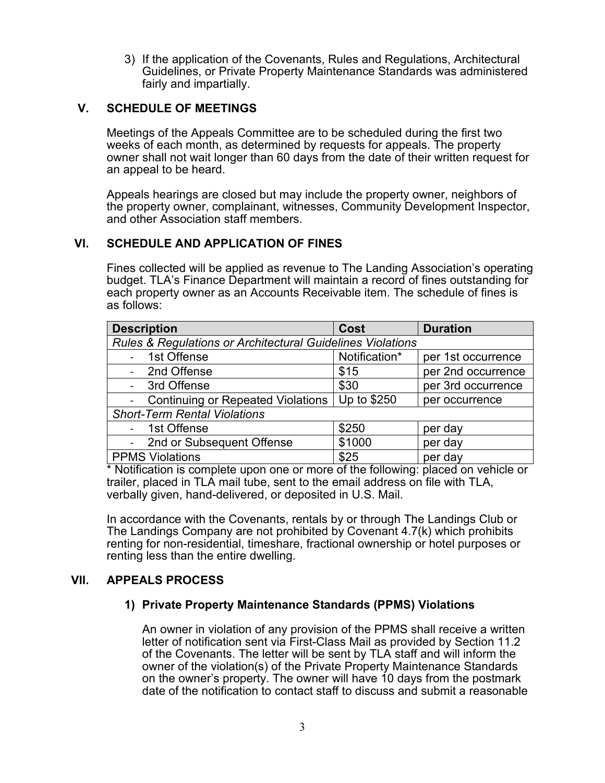3) If the application of the Covenants, Rules and Regulations, Architectural Guidelines, or Private Property Maintenance Standards was administered fairly and impartially.

#### **V. SCHEDULE OF MEETINGS**

Meetings of the Appeals Committee are to be scheduled during the first two weeks of each month, as determined by requests for appeals. The property owner shall not wait longer than 60 days from the date of their written request for an appeal to be heard.

Appeals hearings are closed but may include the property owner, neighbors of the property owner, complainant, witnesses, Community Development Inspector, and other Association staff members.

### **VI. SCHEDULE AND APPLICATION OF FINES**

Fines collected will be applied as revenue to The Landing Association's operating budget. TLA's Finance Department will maintain a record of fines outstanding for each property owner as an Accounts Receivable item. The schedule of fines is as follows:

| <b>Description</b>                                                    | Cost          | <b>Duration</b>    |  |  |
|-----------------------------------------------------------------------|---------------|--------------------|--|--|
| <b>Rules &amp; Regulations or Architectural Guidelines Violations</b> |               |                    |  |  |
| - 1st Offense                                                         | Notification* | per 1st occurrence |  |  |
| - 2nd Offense                                                         | \$15          | per 2nd occurrence |  |  |
| 3rd Offense                                                           | \$30          | per 3rd occurrence |  |  |
| <b>Continuing or Repeated Violations</b>                              | Up to \$250   | per occurrence     |  |  |
| <b>Short-Term Rental Violations</b>                                   |               |                    |  |  |
| 1st Offense                                                           | \$250         | per day            |  |  |
| - 2nd or Subsequent Offense                                           | \$1000        | per day            |  |  |
| <b>PPMS Violations</b>                                                | \$25          | per day            |  |  |

\* Notification is complete upon one or more of the following: placed on vehicle or trailer, placed in TLA mail tube, sent to the email address on file with TLA, verbally given, hand-delivered, or deposited in U.S. Mail.

In accordance with the Covenants, rentals by or through The Landings Club or The Landings Company are not prohibited by Covenant 4.7(k) which prohibits renting for non-residential, timeshare, fractional ownership or hotel purposes or renting less than the entire dwelling.

#### **VII. APPEALS PROCESS**

#### **1) Private Property Maintenance Standards (PPMS) Violations**

An owner in violation of any provision of the PPMS shall receive a written letter of notification sent via First-Class Mail as provided by Section 11.2 of the Covenants. The letter will be sent by TLA staff and will inform the owner of the violation(s) of the Private Property Maintenance Standards on the owner's property. The owner will have 10 days from the postmark date of the notification to contact staff to discuss and submit a reasonable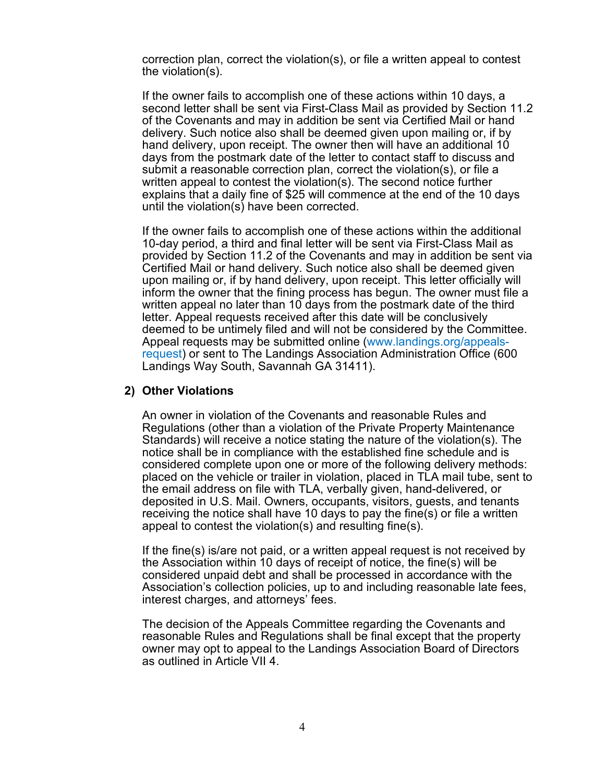correction plan, correct the violation(s), or file a written appeal to contest the violation(s).

If the owner fails to accomplish one of these actions within 10 days, a second letter shall be sent via First-Class Mail as provided by Section 11.2 of the Covenants and may in addition be sent via Certified Mail or hand delivery. Such notice also shall be deemed given upon mailing or, if by hand delivery, upon receipt. The owner then will have an additional 10 days from the postmark date of the letter to contact staff to discuss and submit a reasonable correction plan, correct the violation(s), or file a written appeal to contest the violation(s). The second notice further explains that a daily fine of \$25 will commence at the end of the 10 days until the violation(s) have been corrected.

If the owner fails to accomplish one of these actions within the additional 10-day period, a third and final letter will be sent via First-Class Mail as provided by Section 11.2 of the Covenants and may in addition be sent via Certified Mail or hand delivery. Such notice also shall be deemed given upon mailing or, if by hand delivery, upon receipt. This letter officially will inform the owner that the fining process has begun. The owner must file a written appeal no later than 10 days from the postmark date of the third letter. Appeal requests received after this date will be conclusively deemed to be untimely filed and will not be considered by the Committee. Appeal requests may be submitted online (www.landings.org/appealsrequest) or sent to The Landings Association Administration Office (600 Landings Way South, Savannah GA 31411).

#### **2) Other Violations**

An owner in violation of the Covenants and reasonable Rules and Regulations (other than a violation of the Private Property Maintenance Standards) will receive a notice stating the nature of the violation(s). The notice shall be in compliance with the established fine schedule and is considered complete upon one or more of the following delivery methods: placed on the vehicle or trailer in violation, placed in TLA mail tube, sent to the email address on file with TLA, verbally given, hand-delivered, or deposited in U.S. Mail. Owners, occupants, visitors, guests, and tenants receiving the notice shall have 10 days to pay the fine(s) or file a written appeal to contest the violation(s) and resulting fine(s).

If the fine(s) is/are not paid, or a written appeal request is not received by the Association within 10 days of receipt of notice, the fine(s) will be considered unpaid debt and shall be processed in accordance with the Association's collection policies, up to and including reasonable late fees, interest charges, and attorneys' fees.

The decision of the Appeals Committee regarding the Covenants and reasonable Rules and Regulations shall be final except that the property owner may opt to appeal to the Landings Association Board of Directors as outlined in Article VII 4.